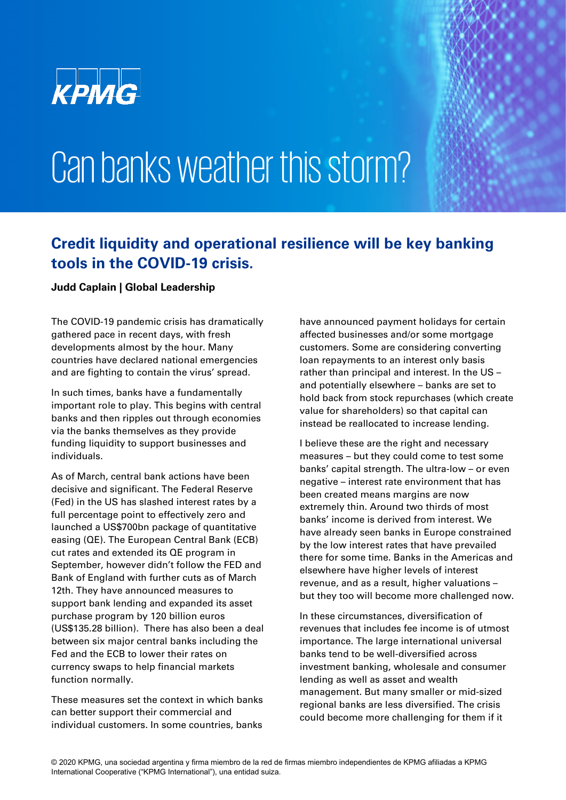

## Can banks weather this storm?

## **Credit liquidity and operational resilience will be key banking tools in the COVID-19 crisis.**

## **Judd Caplain | Global Leadership**

The COVID-19 pandemic crisis has dramatically gathered pace in recent days, with fresh developments almost by the hour. Many countries have declared national emergencies and are fighting to contain the virus' spread.

In such times, banks have a fundamentally important role to play. This begins with central banks and then ripples out through economies via the banks themselves as they provide funding liquidity to support businesses and individuals.

As of March, central bank actions have been decisive and significant. The Federal Reserve (Fed) in the US has slashed interest rates by a full percentage point to effectively zero and launched a US\$700bn package of quantitative easing (QE). The European Central Bank (ECB) cut rates and extended its QE program in September, however didn't follow the FED and Bank of England with further cuts as of March 12th. They have announced measures to support bank lending and expanded its asset purchase program by 120 billion euros (US\$135.28 billion). There has also been a deal between six major central banks including the Fed and the ECB to lower their rates on currency swaps to help financial markets function normally.

These measures set the context in which banks can better support their commercial and individual customers. In some countries, banks

have announced payment holidays for certain affected businesses and/or some mortgage customers. Some are considering converting loan repayments to an interest only basis rather than principal and interest. In the US – and potentially elsewhere – banks are set to hold back from stock repurchases (which create value for shareholders) so that capital can instead be reallocated to increase lending.

I believe these are the right and necessary measures – but they could come to test some banks' capital strength. The ultra-low – or even negative – interest rate environment that has been created means margins are now extremely thin. Around two thirds of most banks' income is derived from interest. We have already seen banks in Europe constrained by the low interest rates that have prevailed there for some time. Banks in the Americas and elsewhere have higher levels of interest revenue, and as a result, higher valuations – but they too will become more challenged now.

In these circumstances, diversification of revenues that includes fee income is of utmost importance. The large international universal banks tend to be well-diversified across investment banking, wholesale and consumer lending as well as asset and wealth management. But many smaller or mid-sized regional banks are less diversified. The crisis could become more challenging for them if it